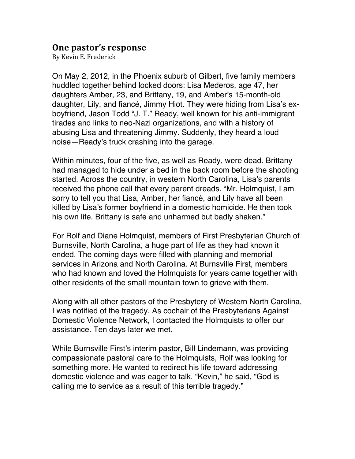## **One pastor's response**

By Kevin E. Frederick

On May 2, 2012, in the Phoenix suburb of Gilbert, five family members huddled together behind locked doors: Lisa Mederos, age 47, her daughters Amber, 23, and Brittany, 19, and Amber's 15-month-old daughter, Lily, and fiancé, Jimmy Hiot. They were hiding from Lisa's exboyfriend, Jason Todd "J. T." Ready, well known for his anti-immigrant tirades and links to neo-Nazi organizations, and with a history of abusing Lisa and threatening Jimmy. Suddenly, they heard a loud noise—Ready's truck crashing into the garage.

Within minutes, four of the five, as well as Ready, were dead. Brittany had managed to hide under a bed in the back room before the shooting started. Across the country, in western North Carolina, Lisa's parents received the phone call that every parent dreads. "Mr. Holmquist, I am sorry to tell you that Lisa, Amber, her fiancé, and Lily have all been killed by Lisa's former boyfriend in a domestic homicide. He then took his own life. Brittany is safe and unharmed but badly shaken."

For Rolf and Diane Holmquist, members of First Presbyterian Church of Burnsville, North Carolina, a huge part of life as they had known it ended. The coming days were filled with planning and memorial services in Arizona and North Carolina. At Burnsville First, members who had known and loved the Holmquists for years came together with other residents of the small mountain town to grieve with them.

Along with all other pastors of the Presbytery of Western North Carolina, I was notified of the tragedy. As cochair of the Presbyterians Against Domestic Violence Network, I contacted the Holmquists to offer our assistance. Ten days later we met.

While Burnsville First's interim pastor, Bill Lindemann, was providing compassionate pastoral care to the Holmquists, Rolf was looking for something more. He wanted to redirect his life toward addressing domestic violence and was eager to talk. "Kevin," he said, "God is calling me to service as a result of this terrible tragedy."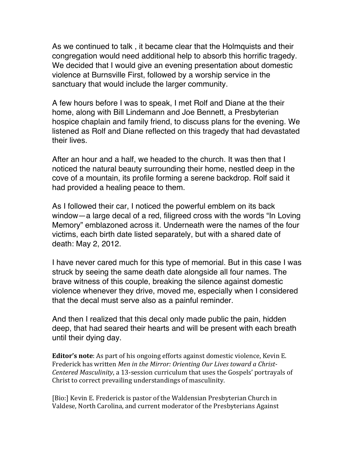As we continued to talk , it became clear that the Holmquists and their congregation would need additional help to absorb this horrific tragedy. We decided that I would give an evening presentation about domestic violence at Burnsville First, followed by a worship service in the sanctuary that would include the larger community.

A few hours before I was to speak, I met Rolf and Diane at the their home, along with Bill Lindemann and Joe Bennett, a Presbyterian hospice chaplain and family friend, to discuss plans for the evening. We listened as Rolf and Diane reflected on this tragedy that had devastated their lives.

After an hour and a half, we headed to the church. It was then that I noticed the natural beauty surrounding their home, nestled deep in the cove of a mountain, its profile forming a serene backdrop. Rolf said it had provided a healing peace to them.

As I followed their car, I noticed the powerful emblem on its back window—a large decal of a red, filigreed cross with the words "In Loving Memory" emblazoned across it. Underneath were the names of the four victims, each birth date listed separately, but with a shared date of death: May 2, 2012.

I have never cared much for this type of memorial. But in this case I was struck by seeing the same death date alongside all four names. The brave witness of this couple, breaking the silence against domestic violence whenever they drive, moved me, especially when I considered that the decal must serve also as a painful reminder.

And then I realized that this decal only made public the pain, hidden deep, that had seared their hearts and will be present with each breath until their dying day.

**Editor's note**: As part of his ongoing efforts against domestic violence, Kevin E. Frederick has written *Men in the Mirror: Orienting Our Lives toward a Christ-Centered Masculinity*, a 13-session curriculum that uses the Gospels' portrayals of Christ to correct prevailing understandings of masculinity.

[Bio:] Kevin E. Frederick is pastor of the Waldensian Presbyterian Church in Valdese, North Carolina, and current moderator of the Presbyterians Against